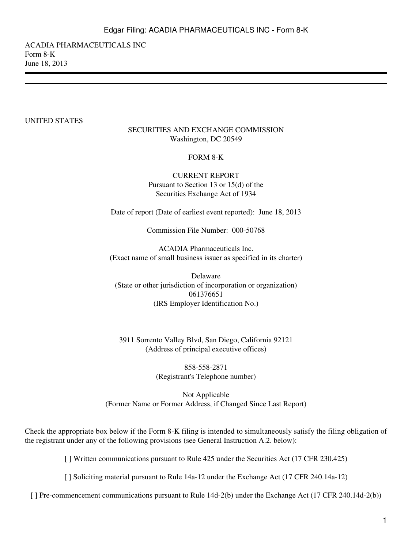ACADIA PHARMACEUTICALS INC Form 8-K June 18, 2013

#### UNITED STATES

#### SECURITIES AND EXCHANGE COMMISSION Washington, DC 20549

#### FORM 8-K

CURRENT REPORT Pursuant to Section 13 or 15(d) of the Securities Exchange Act of 1934

Date of report (Date of earliest event reported): June 18, 2013

Commission File Number: 000-50768

ACADIA Pharmaceuticals Inc. (Exact name of small business issuer as specified in its charter)

Delaware (State or other jurisdiction of incorporation or organization) 061376651 (IRS Employer Identification No.)

3911 Sorrento Valley Blvd, San Diego, California 92121 (Address of principal executive offices)

> 858-558-2871 (Registrant's Telephone number)

Not Applicable (Former Name or Former Address, if Changed Since Last Report)

Check the appropriate box below if the Form 8-K filing is intended to simultaneously satisfy the filing obligation of the registrant under any of the following provisions (see General Instruction A.2. below):

[ ] Written communications pursuant to Rule 425 under the Securities Act (17 CFR 230.425)

[ ] Soliciting material pursuant to Rule 14a-12 under the Exchange Act (17 CFR 240.14a-12)

[] Pre-commencement communications pursuant to Rule 14d-2(b) under the Exchange Act (17 CFR 240.14d-2(b))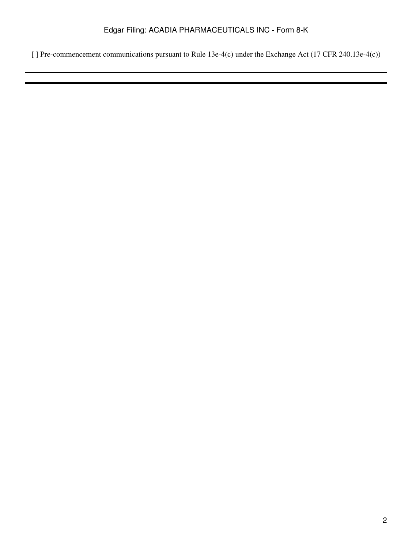[ ] Pre-commencement communications pursuant to Rule 13e-4(c) under the Exchange Act (17 CFR 240.13e-4(c))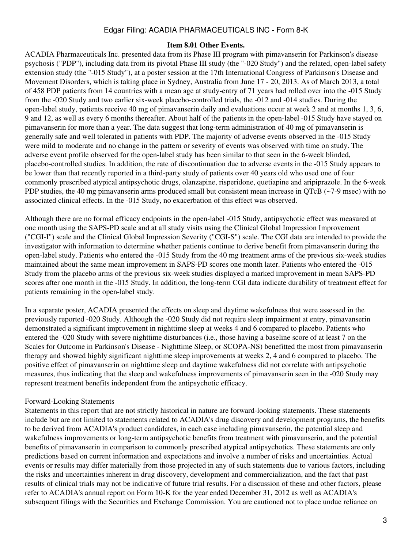## Edgar Filing: ACADIA PHARMACEUTICALS INC - Form 8-K

#### **Item 8.01 Other Events.**

ACADIA Pharmaceuticals Inc. presented data from its Phase III program with pimavanserin for Parkinson's disease psychosis ("PDP"), including data from its pivotal Phase III study (the "-020 Study") and the related, open-label safety extension study (the "-015 Study"), at a poster session at the 17th International Congress of Parkinson's Disease and Movement Disorders, which is taking place in Sydney, Australia from June 17 - 20, 2013. As of March 2013, a total of 458 PDP patients from 14 countries with a mean age at study-entry of 71 years had rolled over into the -015 Study from the -020 Study and two earlier six-week placebo-controlled trials, the -012 and -014 studies. During the open-label study, patients receive 40 mg of pimavanserin daily and evaluations occur at week 2 and at months 1, 3, 6, 9 and 12, as well as every 6 months thereafter. About half of the patients in the open-label -015 Study have stayed on pimavanserin for more than a year. The data suggest that long-term administration of 40 mg of pimavanserin is generally safe and well tolerated in patients with PDP. The majority of adverse events observed in the -015 Study were mild to moderate and no change in the pattern or severity of events was observed with time on study. The adverse event profile observed for the open-label study has been similar to that seen in the 6-week blinded, placebo-controlled studies. In addition, the rate of discontinuation due to adverse events in the -015 Study appears to be lower than that recently reported in a third-party study of patients over 40 years old who used one of four commonly prescribed atypical antipsychotic drugs, olanzapine, risperidone, quetiapine and aripiprazole. In the 6-week PDP studies, the 40 mg pimavanserin arms produced small but consistent mean increase in OTcB (~7-9 msec) with no associated clinical effects. In the -015 Study, no exacerbation of this effect was observed.

Although there are no formal efficacy endpoints in the open-label -015 Study, antipsychotic effect was measured at one month using the SAPS-PD scale and at all study visits using the Clinical Global Impression Improvement ("CGI-I") scale and the Clinical Global Impression Severity ("CGI-S") scale. The CGI data are intended to provide the investigator with information to determine whether patients continue to derive benefit from pimavanserin during the open-label study. Patients who entered the -015 Study from the 40 mg treatment arms of the previous six-week studies maintained about the same mean improvement in SAPS-PD scores one month later. Patients who entered the -015 Study from the placebo arms of the previous six-week studies displayed a marked improvement in mean SAPS-PD scores after one month in the -015 Study. In addition, the long-term CGI data indicate durability of treatment effect for patients remaining in the open-label study.

In a separate poster, ACADIA presented the effects on sleep and daytime wakefulness that were assessed in the previously reported -020 Study. Although the -020 Study did not require sleep impairment at entry, pimavanserin demonstrated a significant improvement in nighttime sleep at weeks 4 and 6 compared to placebo. Patients who entered the -020 Study with severe nighttime disturbances (i.e., those having a baseline score of at least 7 on the Scales for Outcome in Parkinson's Disease - Nighttime Sleep, or SCOPA-NS) benefitted the most from pimavanserin therapy and showed highly significant nighttime sleep improvements at weeks 2, 4 and 6 compared to placebo. The positive effect of pimavanserin on nighttime sleep and daytime wakefulness did not correlate with antipsychotic measures, thus indicating that the sleep and wakefulness improvements of pimavanserin seen in the -020 Study may represent treatment benefits independent from the antipsychotic efficacy.

## Forward-Looking Statements

Statements in this report that are not strictly historical in nature are forward-looking statements. These statements include but are not limited to statements related to ACADIA's drug discovery and development programs, the benefits to be derived from ACADIA's product candidates, in each case including pimavanserin, the potential sleep and wakefulness improvements or long-term antipsychotic benefits from treatment with pimavanserin, and the potential benefits of pimavanserin in comparison to commonly prescribed atypical antipsychotics. These statements are only predictions based on current information and expectations and involve a number of risks and uncertainties. Actual events or results may differ materially from those projected in any of such statements due to various factors, including the risks and uncertainties inherent in drug discovery, development and commercialization, and the fact that past results of clinical trials may not be indicative of future trial results. For a discussion of these and other factors, please refer to ACADIA's annual report on Form 10-K for the year ended December 31, 2012 as well as ACADIA's subsequent filings with the Securities and Exchange Commission. You are cautioned not to place undue reliance on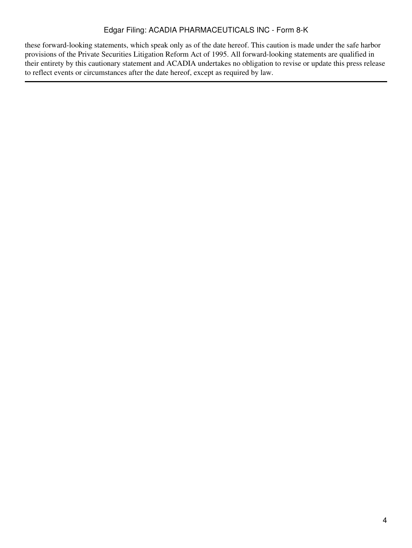## Edgar Filing: ACADIA PHARMACEUTICALS INC - Form 8-K

these forward-looking statements, which speak only as of the date hereof. This caution is made under the safe harbor provisions of the Private Securities Litigation Reform Act of 1995. All forward-looking statements are qualified in their entirety by this cautionary statement and ACADIA undertakes no obligation to revise or update this press release to reflect events or circumstances after the date hereof, except as required by law.